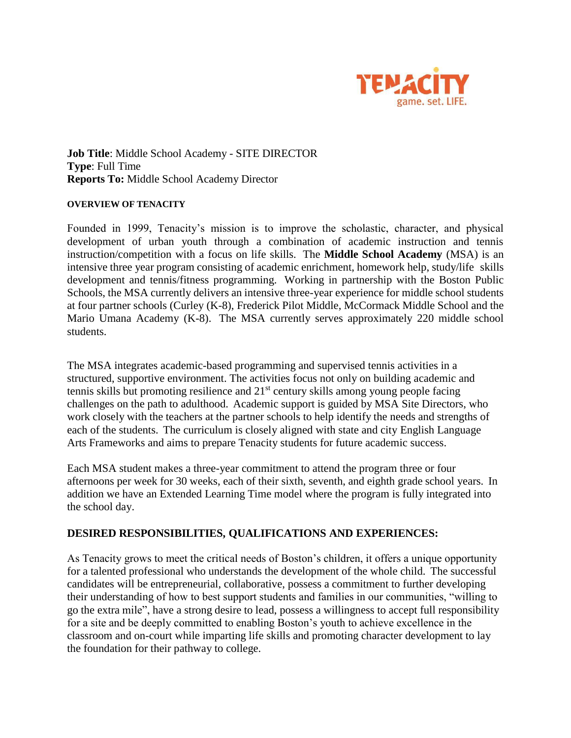

**Job Title**: Middle School Academy - SITE DIRECTOR **Type**: Full Time **Reports To:** Middle School Academy Director

## **OVERVIEW OF TENACITY**

Founded in 1999, Tenacity's mission is to improve the scholastic, character, and physical development of urban youth through a combination of academic instruction and tennis instruction/competition with a focus on life skills. The **Middle School Academy** (MSA) is an intensive three year program consisting of academic enrichment, homework help, study/life skills development and tennis/fitness programming. Working in partnership with the Boston Public Schools, the MSA currently delivers an intensive three-year experience for middle school students at four partner schools (Curley (K-8), Frederick Pilot Middle, McCormack Middle School and the Mario Umana Academy (K-8). The MSA currently serves approximately 220 middle school students.

The MSA integrates academic-based programming and supervised tennis activities in a structured, supportive environment. The activities focus not only on building academic and tennis skills but promoting resilience and  $21<sup>st</sup>$  century skills among young people facing challenges on the path to adulthood. Academic support is guided by MSA Site Directors, who work closely with the teachers at the partner schools to help identify the needs and strengths of each of the students. The curriculum is closely aligned with state and city English Language Arts Frameworks and aims to prepare Tenacity students for future academic success.

Each MSA student makes a three-year commitment to attend the program three or four afternoons per week for 30 weeks, each of their sixth, seventh, and eighth grade school years. In addition we have an Extended Learning Time model where the program is fully integrated into the school day.

## **DESIRED RESPONSIBILITIES, QUALIFICATIONS AND EXPERIENCES:**

As Tenacity grows to meet the critical needs of Boston's children, it offers a unique opportunity for a talented professional who understands the development of the whole child. The successful candidates will be entrepreneurial, collaborative, possess a commitment to further developing their understanding of how to best support students and families in our communities, "willing to go the extra mile", have a strong desire to lead, possess a willingness to accept full responsibility for a site and be deeply committed to enabling Boston's youth to achieve excellence in the classroom and on-court while imparting life skills and promoting character development to lay the foundation for their pathway to college.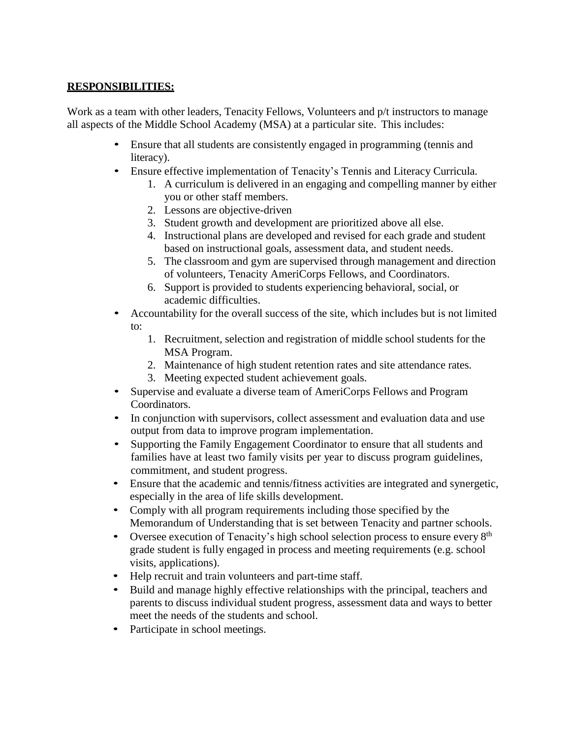## **RESPONSIBILITIES:**

Work as a team with other leaders, Tenacity Fellows, Volunteers and  $p/t$  instructors to manage all aspects of the Middle School Academy (MSA) at a particular site. This includes:

- Ensure that all students are consistently engaged in programming (tennis and literacy).
- Ensure effective implementation of Tenacity's Tennis and Literacy Curricula.
	- 1. A curriculum is delivered in an engaging and compelling manner by either you or other staff members.
	- 2. Lessons are objective-driven
	- 3. Student growth and development are prioritized above all else.
	- 4. Instructional plans are developed and revised for each grade and student based on instructional goals, assessment data, and student needs.
	- 5. The classroom and gym are supervised through management and direction of volunteers, Tenacity AmeriCorps Fellows, and Coordinators.
	- 6. Support is provided to students experiencing behavioral, social, or academic difficulties.
- Accountability for the overall success of the site, which includes but is not limited to:
	- 1. Recruitment, selection and registration of middle school students for the MSA Program.
	- 2. Maintenance of high student retention rates and site attendance rates.
	- 3. Meeting expected student achievement goals.
- Supervise and evaluate a diverse team of AmeriCorps Fellows and Program Coordinators.
- In conjunction with supervisors, collect assessment and evaluation data and use output from data to improve program implementation.
- Supporting the Family Engagement Coordinator to ensure that all students and families have at least two family visits per year to discuss program guidelines, commitment, and student progress.
- Ensure that the academic and tennis/fitness activities are integrated and synergetic, especially in the area of life skills development.
- Comply with all program requirements including those specified by the Memorandum of Understanding that is set between Tenacity and partner schools.
- Oversee execution of Tenacity's high school selection process to ensure every 8<sup>th</sup> grade student is fully engaged in process and meeting requirements (e.g. school visits, applications).
- Help recruit and train volunteers and part-time staff.
- Build and manage highly effective relationships with the principal, teachers and parents to discuss individual student progress, assessment data and ways to better meet the needs of the students and school.
- Participate in school meetings.